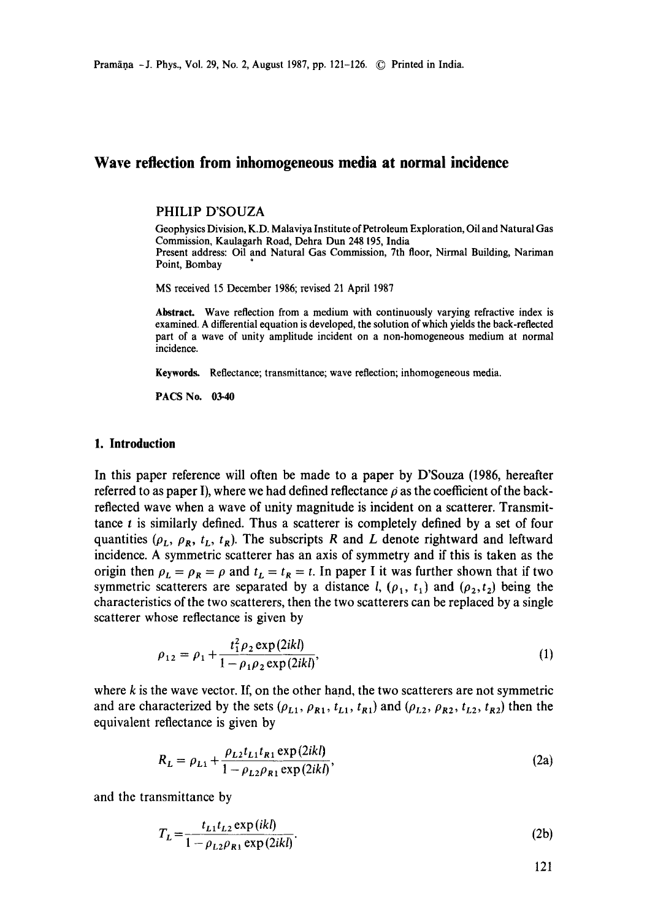# **Wave reflection from inhomogeneous media at normal incidence**

# PHILIP D'SOUZA

Geophysics Division, K.D. Malaviya Institute of Petroleum Exploration, Oil and Natural Gas Commission, Kaulagarh Road, Dehra Dun 248195, India Present address: Oil and Natural Gas Commission, 7th floor, Nirmal Building, Nariman Point, Bombay

MS received 15 December 1986; revised 21 April 1987

**Abstract.** Wave reflection from a medium with continuously varying refractive index is examined. A differential equation is developed, the solution of which yields the back-reflected part of a wave of unity amplitude incident on a non-homogeneous medium at normal incidence.

**Keywords.** Reflectance; transmittance; wave reflection; inhomogeneous media.

PACS No. 03.40

### **1. Introduction**

In this paper reference will often be made to a paper by D'Souza (1986, hereafter referred to as paper I), where we had defined reflectance  $\rho$  as the coefficient of the backreflected wave when a wave of unity magnitude is incident on a scatterer. Transmittance  $t$  is similarly defined. Thus a scatterer is completely defined by a set of four quantities  $(\rho_L, \rho_R, t_L, t_R)$ . The subscripts R and L denote rightward and leftward incidence. A symmetric scatterer has an axis of symmetry and if this is taken as the origin then  $\rho_L = \rho_R = \rho$  and  $t_L = t_R = t$ . In paper I it was further shown that if two symmetric scatterers are separated by a distance l,  $(\rho_1, t_1)$  and  $(\rho_2, t_2)$  being the characteristics of the two scatterers, then the two scatterers can be replaced by a single scatterer whose reflectance is given by

$$
\rho_{12} = \rho_1 + \frac{t_1^2 \rho_2 \exp(2ikl)}{1 - \rho_1 \rho_2 \exp(2ikl)},
$$
\n(1)

where  $k$  is the wave vector. If, on the other hand, the two scatterers are not symmetric and are characterized by the sets  $(\rho_{L1}, \rho_{R1}, t_{L1}, t_{R1})$  and  $(\rho_{L2}, \rho_{R2}, t_{L2}, t_{R2})$  then the equivalent reflectance is given by

$$
R_{L} = \rho_{L1} + \frac{\rho_{L2}t_{L1}t_{R1} \exp(2ikl)}{1 - \rho_{L2}\rho_{R1} \exp(2ikl)},
$$
\n(2a)

and the transmittance by

$$
T_{L} = \frac{t_{L1}t_{L2} \exp(ikl)}{1 - \rho_{L2}\rho_{R1} \exp(2ikl)}.
$$
 (2b)

121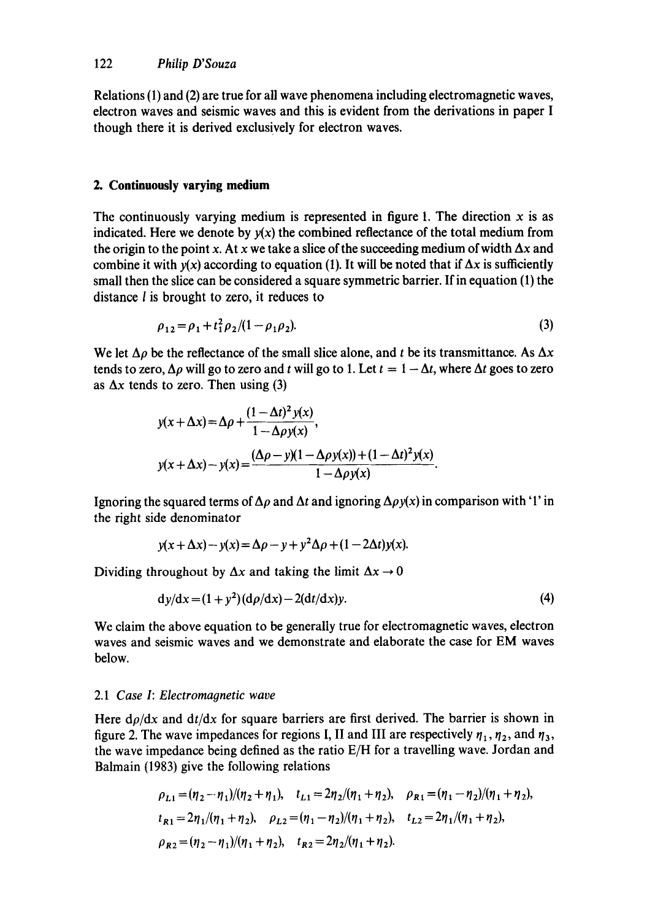Relations (1) and (2) are true for all wave phenomena including electromagnetic waves, electron waves and seismic waves and this is evident from the derivations in paper I though there it is derived exclusively for electron waves.

### **2. Continuously varying medium**

The continuously varying medium is represented in figure 1. The direction  $x$  is as indicated. Here we denote by  $y(x)$  the combined reflectance of the total medium from the origin to the point x. At x we take a slice of the succeeding medium of width  $\Delta x$  and combine it with  $y(x)$  according to equation (1). It will be noted that if  $\Delta x$  is sufficiently small then the slice can be considered a square symmetric barrier. If in equation (1) the distance I is brought to zero, it reduces to

$$
\rho_{12} = \rho_1 + t_1^2 \rho_2 / (1 - \rho_1 \rho_2). \tag{3}
$$

We let  $\Delta \rho$  be the reflectance of the small slice alone, and t be its transmittance. As  $\Delta x$ tends to zero,  $\Delta \rho$  will go to zero and t will go to 1. Let  $t = 1 - \Delta t$ , where  $\Delta t$  goes to zero as  $\Delta x$  tends to zero. Then using (3)

$$
y(x + \Delta x) = \Delta \rho + \frac{(1 - \Delta t)^2 y(x)}{1 - \Delta \rho y(x)},
$$
  

$$
y(x + \Delta x) - y(x) = \frac{(\Delta \rho - y)(1 - \Delta \rho y(x)) + (1 - \Delta t)^2 y(x)}{1 - \Delta \rho y(x)}.
$$

Ignoring the squared terms of  $\Delta \rho$  and  $\Delta t$  and ignoring  $\Delta \rho y(x)$  in comparison with '1' in the right side denominator

$$
y(x + \Delta x) - y(x) = \Delta \rho - y + y^2 \Delta \rho + (1 - 2\Delta t)y(x).
$$

Dividing throughout by  $\Delta x$  and taking the limit  $\Delta x \rightarrow 0$ 

$$
dy/dx = (1 + y2)(d\rho/dx) - 2(dt/dx)y.
$$
\n(4)

We claim the above equation to be generally true for electromagnetic waves, electron waves and seismic waves and we demonstrate and elaborate the case for EM waves below.

### 2.1 *Case I: Electromagnetic wave*

Here  $d\rho/dx$  and  $dt/dx$  for square barriers are first derived. The barrier is shown in figure 2. The wave impedances for regions I, II and III are respectively  $\eta_1, \eta_2$ , and  $\eta_3$ , the wave impedance being defined as the ratio E/H for a travelling wave. Jordan and Balmain (1983) give the following relations

$$
\rho_{L1} = (\eta_2 - \eta_1)/(\eta_2 + \eta_1), \quad t_{L1} = 2\eta_2/(\eta_1 + \eta_2), \quad \rho_{R1} = (\eta_1 - \eta_2)/(\eta_1 + \eta_2),
$$
  
\n
$$
t_{R1} = 2\eta_1/(\eta_1 + \eta_2), \quad \rho_{L2} = (\eta_1 - \eta_2)/(\eta_1 + \eta_2), \quad t_{L2} = 2\eta_1/(\eta_1 + \eta_2),
$$
  
\n
$$
\rho_{R2} = (\eta_2 - \eta_1)/(\eta_1 + \eta_2), \quad t_{R2} = 2\eta_2/(\eta_1 + \eta_2).
$$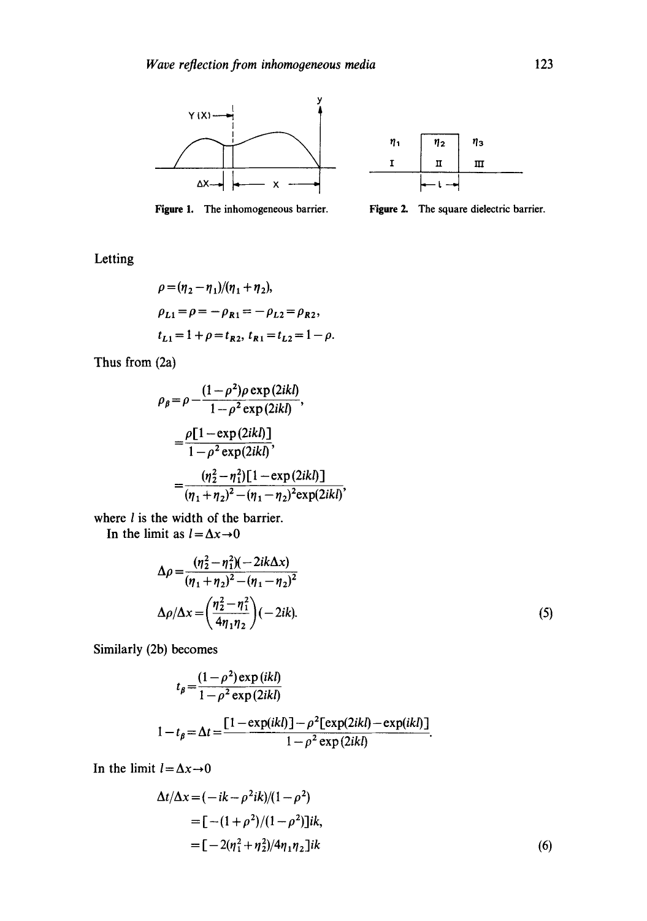

 $\eta_1$  $\eta_2$ **r/3**  I  $\rm{II}$  $\scriptstyle\rm III$  $\cdot$  t  $\cdot$ 

Figure 1. The inhomogeneous barrier.



Letting

$$
\rho = (\eta_2 - \eta_1)/(\eta_1 + \eta_2),
$$
  
\n
$$
\rho_{L1} = \rho = -\rho_{R1} = -\rho_{L2} = \rho_{R2},
$$
  
\n
$$
t_{L1} = 1 + \rho = t_{R2}, t_{R1} = t_{L2} = 1 - \rho.
$$

Thus from (2a)

$$
\rho_{\beta} = \rho - \frac{(1 - \rho^2)\rho \exp(2ikl)}{1 - \rho^2 \exp(2ikl)},
$$
  
= 
$$
\frac{\rho[1 - \exp(2ikl)]}{1 - \rho^2 \exp(2ikl)},
$$
  
= 
$$
\frac{(\eta_2^2 - \eta_1^2)[1 - \exp(2ikl)]}{(\eta_1 + \eta_2)^2 - (\eta_1 - \eta_2)^2 \exp(2ikl)},
$$

where  $l$  is the width of the barrier.

In the limit as  $l = \Delta x \rightarrow 0$ 

$$
\Delta \rho = \frac{(\eta_2^2 - \eta_1^2)(-2ik\Delta x)}{(\eta_1 + \eta_2)^2 - (\eta_1 - \eta_2)^2}
$$
  

$$
\Delta \rho / \Delta x = \left(\frac{\eta_2^2 - \eta_1^2}{4\eta_1 \eta_2}\right)(-2ik).
$$
 (5)

Similarly (2b) becomes

$$
t_{\beta} = \frac{(1-\rho^2)\exp(ikl)}{1-\rho^2\exp(2ikl)}
$$

$$
-t_{\beta} = \Delta t = \frac{[1-\exp(ikl)]-\rho^2[\exp(2ikl)-\exp(ikl)]}{1-\rho^2\exp(2ikl)}.
$$

In the limit  $l=\Delta x\rightarrow 0$ 

 $\mathbf 1$ 

$$
\Delta t/\Delta x = (-ik - \rho^2 ik)/(1 - \rho^2)
$$
  
= [- (1 + \rho^2)/(1 - \rho^2)]ik,  
= [-2(\eta\_1^2 + \eta\_2^2)/4\eta\_1\eta\_2]ik (6)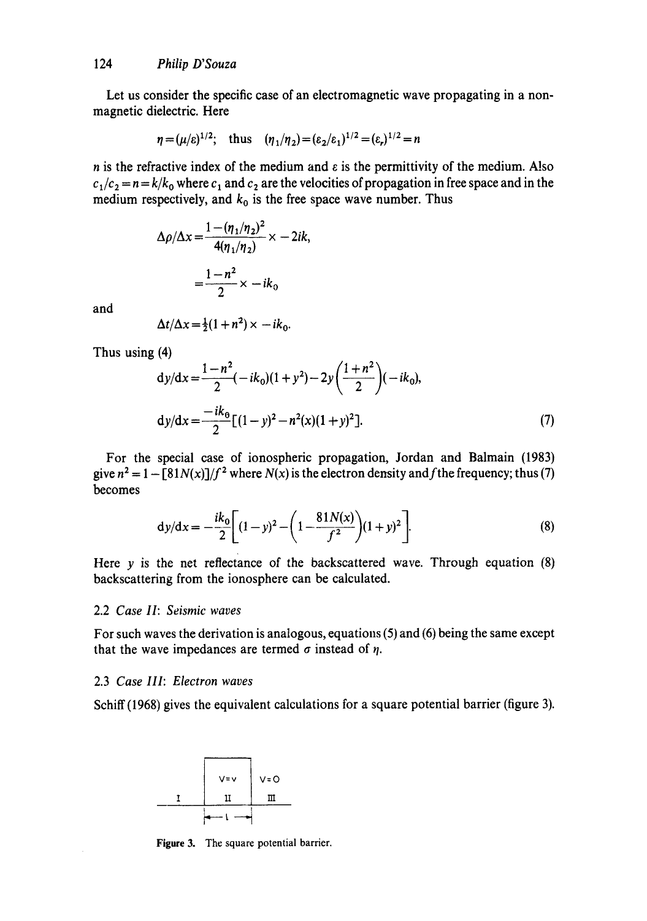Let us consider the specific case of an electromagnetic wave propagating in a nonmagnetic dielectric. Here

$$
\eta = (\mu/\varepsilon)^{1/2}
$$
; thus  $(\eta_1/\eta_2) = (\varepsilon_2/\varepsilon_1)^{1/2} = (\varepsilon_r)^{1/2} = n$ 

n is the refractive index of the medium and  $\varepsilon$  is the permittivity of the medium. Also  $c_1/c_2 = n = k/k_0$  where  $c_1$  and  $c_2$  are the velocities of propagation in free space and in the medium respectively, and  $k_0$  is the free space wave number. Thus

$$
\Delta \rho / \Delta x = \frac{1 - (\eta_1 / \eta_2)^2}{4(\eta_1 / \eta_2)} \times -2ik,
$$

$$
= \frac{1 - n^2}{2} \times -ik_0
$$

and

$$
\Delta t/\Delta x = \frac{1}{2}(1+n^2) \times -ik_0.
$$

Thus using (4)

$$
dy/dx = \frac{1 - n^2}{2}(-ik_0)(1 + y^2) - 2y\left(\frac{1 + n^2}{2}\right)(-ik_0),
$$
  
\n
$$
dy/dx = \frac{-ik_0}{2}[(1 - y)^2 - n^2(x)(1 + y)^2].
$$
\n(7)

For the special case of ionospheric propagation, Jordan and Balmain (1983) give  $n^2 = 1 - \frac{81N(x)}{f^2}$  where  $N(x)$  is the electron density and f the frequency; thus (7) becomes

$$
dy/dx = -\frac{ik_0}{2} \left[ (1-y)^2 - \left( 1 - \frac{81N(x)}{f^2} \right) (1+y)^2 \right].
$$
 (8)

Here y is the net reflectance of the backscattered wave. Through equation  $(8)$ backscattering from the ionosphere can be calculated.

# 2.2 *Case lI: Seismic waves*

For such waves the derivation is analogous, equations (5) and (6) being the same except that the wave impedances are termed  $\sigma$  instead of  $\eta$ .

### 2.3 *Case III: Electron waves*

Schiff (1968) gives the equivalent calculations for a square potential barrier (figure 3).



Figure 3. The square potential barrier,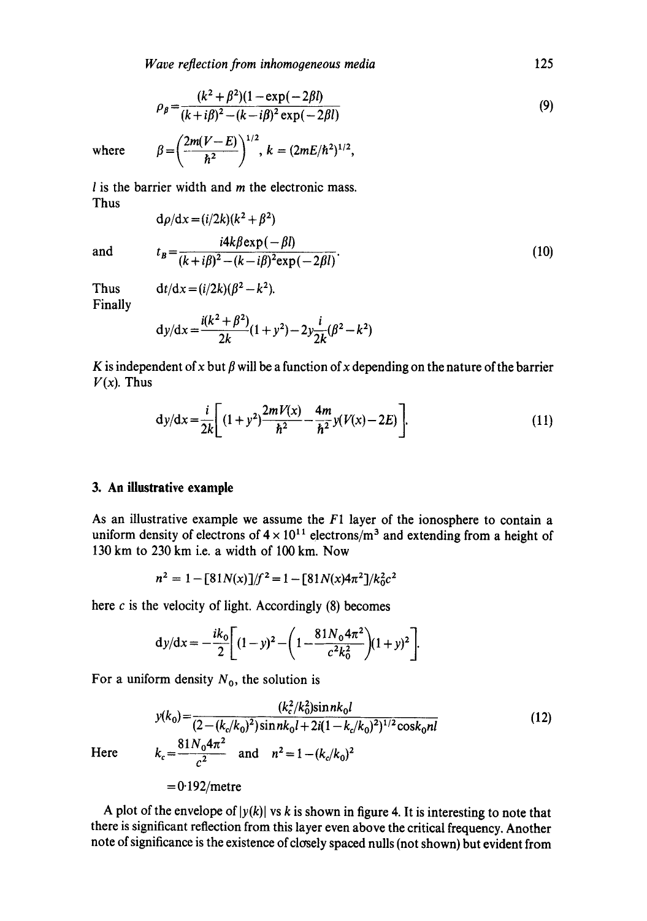$$
\rho_{\beta} = \frac{(k^2 + \beta^2)(1 - \exp(-2\beta l))}{(k + i\beta)^2 - (k - i\beta)^2 \exp(-2\beta l)}
$$
(9)

where  $\beta = \left(\frac{2m(V-E)}{\hbar^2}\right)^{1/2}, k = (2mE/\hbar^2)^{1/2},$ 

 $l$  is the barrier width and  $m$  the electronic mass. Thus

$$
d\rho/dx = (i/2k)(k^2 + \beta^2)
$$
  
\n
$$
t_B = \frac{i4k\beta \exp(-\beta l)}{(k + i\beta)^2 - (k - i\beta)^2 \exp(-2\beta l)}.
$$
 (10)

and 
$$
t_B = \frac{i4k\beta \exp(-\beta l)}{(k+i\beta)^2 - (k-i\beta)^2 \exp(-2\beta l)}.
$$
 (10)

Finally

Thus 
$$
dt/dx = (i/2k)(\beta^2 - k^2)
$$
.  
Finally

$$
dy/dx = \frac{i(k^2 + \beta^2)}{2k}(1 + y^2) - 2y\frac{i}{2k}(\beta^2 - k^2)
$$

K is independent of x but  $\beta$  will be a function of x depending on the nature of the barrier  $V(x)$ . Thus

$$
dy/dx = \frac{i}{2k} \left[ (1+y^2) \frac{2mV(x)}{\hbar^2} - \frac{4m}{\hbar^2} y(V(x) - 2E) \right].
$$
 (11)

## **3. An illustrative example**

As an illustrative example we assume the  $F1$  layer of the ionosphere to contain a uniform density of electrons of  $4 \times 10^{11}$  electrons/m<sup>3</sup> and extending from a height of 130 km to 230 km i.e. a width of 100 km. Now

$$
n^2 = 1 - [81N(x)]/f^2 = 1 - [81N(x)4\pi^2]/k_0^2c^2
$$

here  $c$  is the velocity of light. Accordingly (8) becomes

$$
dy/dx = -\frac{ik_0}{2} \left[ (1-y)^2 - \left( 1 - \frac{81N_0 4\pi^2}{c^2 k_0^2} \right) (1+y)^2 \right].
$$

For a uniform density  $N_0$ , the solution is

$$
y(k_0) = \frac{(k_c^2/k_0^2)\sin nk_0l}{(2 - (k_c/k_0)^2)\sin nk_0l + 2i(1 - k_c/k_0)^2)^{1/2}\cos k_0nl}
$$
(12)  

$$
k_c = \frac{81N_04\pi^2}{c^2} \text{ and } n^2 = 1 - (k_c/k_0)^2
$$

Here  $k$ 

 $= 0.192$ /metre

A plot of the envelope of  $|y(k)|$  vs k is shown in figure 4. It is interesting to note that there is significant reflection from this layer even above the critical frequency. Another note of significance is the existence of closely spaced nulls (not shown) but evident from